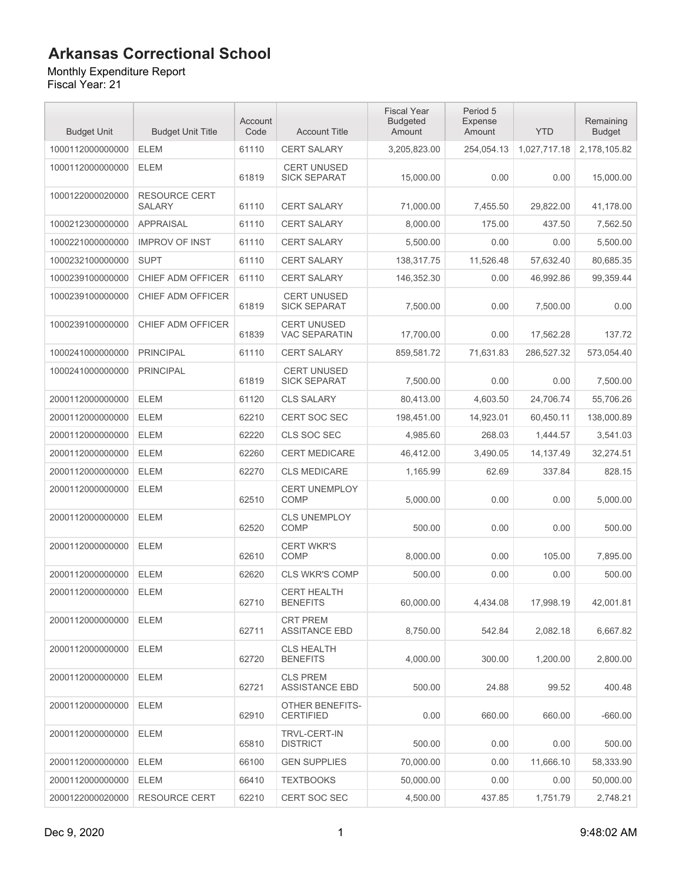Monthly Expenditure Report

| <b>Budget Unit</b> | <b>Budget Unit Title</b>              | Account<br>Code | <b>Account Title</b>                       | <b>Fiscal Year</b><br><b>Budgeted</b><br>Amount | Period 5<br><b>Expense</b><br>Amount | <b>YTD</b>   | Remaining<br><b>Budget</b> |
|--------------------|---------------------------------------|-----------------|--------------------------------------------|-------------------------------------------------|--------------------------------------|--------------|----------------------------|
| 1000112000000000   | <b>ELEM</b>                           | 61110           | <b>CERT SALARY</b>                         | 3,205,823.00                                    | 254,054.13                           | 1,027,717.18 | 2,178,105.82               |
| 1000112000000000   | <b>ELEM</b>                           | 61819           | <b>CERT UNUSED</b><br><b>SICK SEPARAT</b>  | 15,000.00                                       | 0.00                                 | 0.00         | 15,000.00                  |
| 1000122000020000   | <b>RESOURCE CERT</b><br><b>SALARY</b> | 61110           | <b>CERT SALARY</b>                         | 71,000.00                                       | 7,455.50                             | 29,822.00    | 41,178.00                  |
| 1000212300000000   | <b>APPRAISAL</b>                      | 61110           | <b>CERT SALARY</b>                         | 8,000.00                                        | 175.00                               | 437.50       | 7,562.50                   |
| 1000221000000000   | <b>IMPROV OF INST</b>                 | 61110           | <b>CERT SALARY</b>                         | 5,500.00                                        | 0.00                                 | 0.00         | 5,500.00                   |
| 1000232100000000   | <b>SUPT</b>                           | 61110           | CERT SALARY                                | 138,317.75                                      | 11,526.48                            | 57,632.40    | 80,685.35                  |
| 1000239100000000   | CHIEF ADM OFFICER                     | 61110           | <b>CERT SALARY</b>                         | 146,352.30                                      | 0.00                                 | 46,992.86    | 99,359.44                  |
| 1000239100000000   | CHIEF ADM OFFICER                     | 61819           | <b>CERT UNUSED</b><br><b>SICK SEPARAT</b>  | 7,500.00                                        | 0.00                                 | 7,500.00     | 0.00                       |
| 1000239100000000   | CHIEF ADM OFFICER                     | 61839           | <b>CERT UNUSED</b><br><b>VAC SEPARATIN</b> | 17,700.00                                       | 0.00                                 | 17,562.28    | 137.72                     |
| 1000241000000000   | <b>PRINCIPAL</b>                      | 61110           | <b>CERT SALARY</b>                         | 859.581.72                                      | 71,631.83                            | 286,527.32   | 573,054.40                 |
| 1000241000000000   | <b>PRINCIPAL</b>                      | 61819           | <b>CERT UNUSED</b><br><b>SICK SEPARAT</b>  | 7,500.00                                        | 0.00                                 | 0.00         | 7.500.00                   |
| 2000112000000000   | <b>ELEM</b>                           | 61120           | <b>CLS SALARY</b>                          | 80,413.00                                       | 4,603.50                             | 24,706.74    | 55,706.26                  |
| 2000112000000000   | <b>ELEM</b>                           | 62210           | <b>CERT SOC SEC</b>                        | 198,451.00                                      | 14,923.01                            | 60,450.11    | 138,000.89                 |
| 2000112000000000   | <b>ELEM</b>                           | 62220           | CLS SOC SEC                                | 4,985.60                                        | 268.03                               | 1,444.57     | 3,541.03                   |
| 2000112000000000   | <b>ELEM</b>                           | 62260           | <b>CERT MEDICARE</b>                       | 46,412.00                                       | 3,490.05                             | 14,137.49    | 32,274.51                  |
| 2000112000000000   | <b>ELEM</b>                           | 62270           | <b>CLS MEDICARE</b>                        | 1,165.99                                        | 62.69                                | 337.84       | 828.15                     |
| 2000112000000000   | <b>ELEM</b>                           | 62510           | <b>CERT UNEMPLOY</b><br><b>COMP</b>        | 5,000.00                                        | 0.00                                 | 0.00         | 5,000.00                   |
| 2000112000000000   | <b>ELEM</b>                           | 62520           | <b>CLS UNEMPLOY</b><br>COMP                | 500.00                                          | 0.00                                 | 0.00         | 500.00                     |
| 2000112000000000   | <b>ELEM</b>                           | 62610           | <b>CERT WKR'S</b><br><b>COMP</b>           | 8,000.00                                        | 0.00                                 | 105.00       | 7,895.00                   |
| 2000112000000000   | <b>ELEM</b>                           | 62620           | <b>CLS WKR'S COMP</b>                      | 500.00                                          | 0.00                                 | 0.00         | 500.00                     |
| 2000112000000000   | <b>ELEM</b>                           | 62710           | <b>CERT HEALTH</b><br><b>BENEFITS</b>      | 60,000.00                                       | 4,434.08                             | 17,998.19    | 42,001.81                  |
| 2000112000000000   | <b>ELEM</b>                           | 62711           | <b>CRT PREM</b><br><b>ASSITANCE EBD</b>    | 8,750.00                                        | 542.84                               | 2.082.18     | 6,667.82                   |
| 2000112000000000   | ELEM                                  | 62720           | <b>CLS HEALTH</b><br><b>BENEFITS</b>       | 4.000.00                                        | 300.00                               | 1,200.00     | 2.800.00                   |
| 2000112000000000   | ELEM                                  | 62721           | <b>CLS PREM</b><br><b>ASSISTANCE EBD</b>   | 500.00                                          | 24.88                                | 99.52        | 400.48                     |
| 2000112000000000   | <b>ELEM</b>                           | 62910           | <b>OTHER BENEFITS-</b><br><b>CERTIFIED</b> | 0.00                                            | 660.00                               | 660.00       | $-660.00$                  |
| 2000112000000000   | <b>ELEM</b>                           | 65810           | <b>TRVL-CERT-IN</b><br><b>DISTRICT</b>     | 500.00                                          | 0.00                                 | 0.00         | 500.00                     |
| 2000112000000000   | <b>ELEM</b>                           | 66100           | <b>GEN SUPPLIES</b>                        | 70,000.00                                       | 0.00                                 | 11,666.10    | 58,333.90                  |
| 2000112000000000   | ELEM                                  | 66410           | <b>TEXTBOOKS</b>                           | 50,000.00                                       | 0.00                                 | 0.00         | 50,000.00                  |
| 2000122000020000   | <b>RESOURCE CERT</b>                  | 62210           | CERT SOC SEC                               | 4,500.00                                        | 437.85                               | 1,751.79     | 2,748.21                   |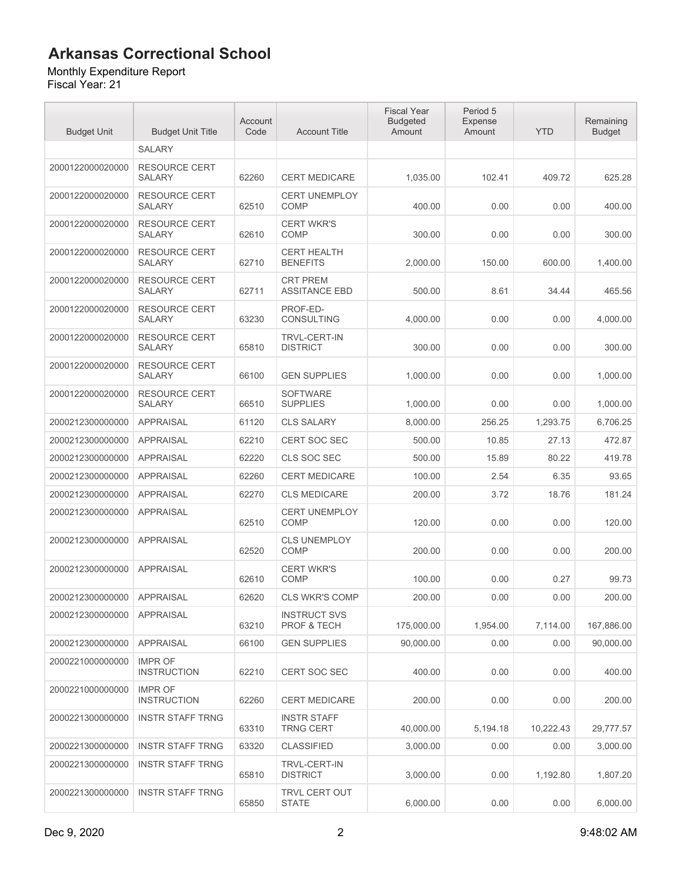### Monthly Expenditure Report

| <b>Budget Unit</b> | <b>Budget Unit Title</b>              | Account<br>Code | <b>Account Title</b>                    | <b>Fiscal Year</b><br><b>Budgeted</b><br>Amount | Period 5<br>Expense<br>Amount | <b>YTD</b> | Remaining<br><b>Budget</b> |
|--------------------|---------------------------------------|-----------------|-----------------------------------------|-------------------------------------------------|-------------------------------|------------|----------------------------|
|                    | <b>SALARY</b>                         |                 |                                         |                                                 |                               |            |                            |
| 2000122000020000   | <b>RESOURCE CERT</b><br><b>SALARY</b> | 62260           | <b>CERT MEDICARE</b>                    | 1,035.00                                        | 102.41                        | 409.72     | 625.28                     |
| 2000122000020000   | <b>RESOURCE CERT</b><br><b>SALARY</b> | 62510           | <b>CERT UNEMPLOY</b><br><b>COMP</b>     | 400.00                                          | 0.00                          | 0.00       | 400.00                     |
| 2000122000020000   | <b>RESOURCE CERT</b><br>SALARY        | 62610           | <b>CERT WKR'S</b><br><b>COMP</b>        | 300.00                                          | 0.00                          | 0.00       | 300.00                     |
| 2000122000020000   | <b>RESOURCE CERT</b><br><b>SALARY</b> | 62710           | <b>CERT HEALTH</b><br><b>BENEFITS</b>   | 2,000.00                                        | 150.00                        | 600.00     | 1,400.00                   |
| 2000122000020000   | <b>RESOURCE CERT</b><br><b>SALARY</b> | 62711           | <b>CRT PREM</b><br><b>ASSITANCE EBD</b> | 500.00                                          | 8.61                          | 34.44      | 465.56                     |
| 2000122000020000   | <b>RESOURCE CERT</b><br><b>SALARY</b> | 63230           | PROF-ED-<br>CONSULTING                  | 4,000.00                                        | 0.00                          | 0.00       | 4,000.00                   |
| 2000122000020000   | <b>RESOURCE CERT</b><br><b>SALARY</b> | 65810           | <b>TRVL-CERT-IN</b><br><b>DISTRICT</b>  | 300.00                                          | 0.00                          | 0.00       | 300.00                     |
| 2000122000020000   | <b>RESOURCE CERT</b><br><b>SALARY</b> | 66100           | <b>GEN SUPPLIES</b>                     | 1,000.00                                        | 0.00                          | 0.00       | 1,000.00                   |
| 2000122000020000   | <b>RESOURCE CERT</b><br><b>SALARY</b> | 66510           | <b>SOFTWARE</b><br><b>SUPPLIES</b>      | 1,000.00                                        | 0.00                          | 0.00       | 1,000.00                   |
| 2000212300000000   | <b>APPRAISAL</b>                      | 61120           | <b>CLS SALARY</b>                       | 8,000.00                                        | 256.25                        | 1,293.75   | 6,706.25                   |
| 2000212300000000   | <b>APPRAISAL</b>                      | 62210           | <b>CERT SOC SEC</b>                     | 500.00                                          | 10.85                         | 27.13      | 472.87                     |
| 2000212300000000   | <b>APPRAISAL</b>                      | 62220           | CLS SOC SEC                             | 500.00                                          | 15.89                         | 80.22      | 419.78                     |
| 2000212300000000   | <b>APPRAISAL</b>                      | 62260           | <b>CERT MEDICARE</b>                    | 100.00                                          | 2.54                          | 6.35       | 93.65                      |
| 2000212300000000   | <b>APPRAISAL</b>                      | 62270           | <b>CLS MEDICARE</b>                     | 200.00                                          | 3.72                          | 18.76      | 181.24                     |
| 2000212300000000   | <b>APPRAISAL</b>                      | 62510           | <b>CERT UNEMPLOY</b><br><b>COMP</b>     | 120.00                                          | 0.00                          | 0.00       | 120.00                     |
| 2000212300000000   | <b>APPRAISAL</b>                      | 62520           | <b>CLS UNEMPLOY</b><br>COMP             | 200.00                                          | 0.00                          | 0.00       | 200.00                     |
| 2000212300000000   | <b>APPRAISAL</b>                      | 62610           | <b>CERT WKR'S</b><br><b>COMP</b>        | 100.00                                          | 0.00                          | 0.27       | 99.73                      |
| 2000212300000000   | <b>APPRAISAL</b>                      | 62620           | <b>CLS WKR'S COMP</b>                   | 200.00                                          | 0.00                          | 0.00       | 200.00                     |
| 2000212300000000   | APPRAISAL                             | 63210           | <b>INSTRUCT SVS</b><br>PROF & TECH      | 175,000.00                                      | 1,954.00                      | 7.114.00   | 167.886.00                 |
| 2000212300000000   | <b>APPRAISAL</b>                      | 66100           | <b>GEN SUPPLIES</b>                     | 90,000.00                                       | 0.00                          | 0.00       | 90,000.00                  |
| 2000221000000000   | <b>IMPR OF</b><br><b>INSTRUCTION</b>  | 62210           | <b>CERT SOC SEC</b>                     | 400.00                                          | 0.00                          | 0.00       | 400.00                     |
| 2000221000000000   | <b>IMPR OF</b><br><b>INSTRUCTION</b>  | 62260           | <b>CERT MEDICARE</b>                    | 200.00                                          | 0.00                          | 0.00       | 200.00                     |
| 2000221300000000   | <b>INSTR STAFF TRNG</b>               | 63310           | <b>INSTR STAFF</b><br><b>TRNG CERT</b>  | 40,000.00                                       | 5,194.18                      | 10,222.43  | 29,777.57                  |
| 2000221300000000   | <b>INSTR STAFF TRNG</b>               | 63320           | <b>CLASSIFIED</b>                       | 3,000.00                                        | 0.00                          | 0.00       | 3,000.00                   |
| 2000221300000000   | <b>INSTR STAFF TRNG</b>               | 65810           | <b>TRVL-CERT-IN</b><br><b>DISTRICT</b>  | 3,000.00                                        | 0.00                          | 1,192.80   | 1,807.20                   |
| 2000221300000000   | <b>INSTR STAFF TRNG</b>               | 65850           | TRVL CERT OUT<br><b>STATE</b>           | 6,000.00                                        | 0.00                          | 0.00       | 6,000.00                   |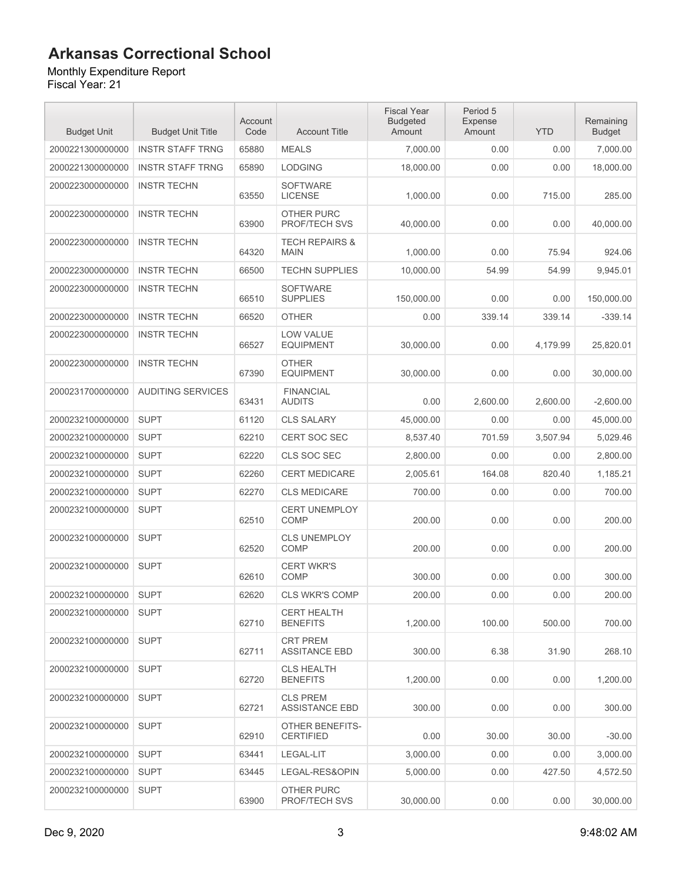### Monthly Expenditure Report

| <b>Budget Unit</b> | <b>Budget Unit Title</b> | Account<br>Code | <b>Account Title</b>                       | <b>Fiscal Year</b><br><b>Budgeted</b><br>Amount | Period 5<br><b>Expense</b><br>Amount | <b>YTD</b> | Remaining<br><b>Budget</b> |
|--------------------|--------------------------|-----------------|--------------------------------------------|-------------------------------------------------|--------------------------------------|------------|----------------------------|
| 2000221300000000   | <b>INSTR STAFF TRNG</b>  | 65880           | <b>MEALS</b>                               | 7,000.00                                        | 0.00                                 | 0.00       | 7,000.00                   |
| 2000221300000000   | <b>INSTR STAFF TRNG</b>  | 65890           | <b>LODGING</b>                             | 18,000.00                                       | 0.00                                 | 0.00       | 18,000.00                  |
| 2000223000000000   | <b>INSTR TECHN</b>       | 63550           | <b>SOFTWARE</b><br><b>LICENSE</b>          | 1,000.00                                        | 0.00                                 | 715.00     | 285.00                     |
| 2000223000000000   | <b>INSTR TECHN</b>       | 63900           | <b>OTHER PURC</b><br>PROF/TECH SVS         | 40,000.00                                       | 0.00                                 | 0.00       | 40,000.00                  |
| 2000223000000000   | <b>INSTR TECHN</b>       | 64320           | <b>TECH REPAIRS &amp;</b><br><b>MAIN</b>   | 1,000.00                                        | 0.00                                 | 75.94      | 924.06                     |
| 2000223000000000   | <b>INSTR TECHN</b>       | 66500           | <b>TECHN SUPPLIES</b>                      | 10,000.00                                       | 54.99                                | 54.99      | 9,945.01                   |
| 2000223000000000   | <b>INSTR TECHN</b>       | 66510           | <b>SOFTWARE</b><br><b>SUPPLIES</b>         | 150,000.00                                      | 0.00                                 | 0.00       | 150,000.00                 |
| 2000223000000000   | <b>INSTR TECHN</b>       | 66520           | <b>OTHER</b>                               | 0.00                                            | 339.14                               | 339.14     | $-339.14$                  |
| 2000223000000000   | <b>INSTR TECHN</b>       | 66527           | <b>LOW VALUE</b><br><b>EQUIPMENT</b>       | 30,000.00                                       | 0.00                                 | 4,179.99   | 25,820.01                  |
| 2000223000000000   | <b>INSTR TECHN</b>       | 67390           | <b>OTHER</b><br><b>EQUIPMENT</b>           | 30,000.00                                       | 0.00                                 | 0.00       | 30,000.00                  |
| 2000231700000000   | <b>AUDITING SERVICES</b> | 63431           | <b>FINANCIAL</b><br><b>AUDITS</b>          | 0.00                                            | 2.600.00                             | 2,600.00   | $-2,600.00$                |
| 2000232100000000   | <b>SUPT</b>              | 61120           | <b>CLS SALARY</b>                          | 45,000.00                                       | 0.00                                 | 0.00       | 45,000.00                  |
| 2000232100000000   | <b>SUPT</b>              | 62210           | <b>CERT SOC SEC</b>                        | 8,537.40                                        | 701.59                               | 3,507.94   | 5,029.46                   |
| 2000232100000000   | <b>SUPT</b>              | 62220           | CLS SOC SEC                                | 2,800.00                                        | 0.00                                 | 0.00       | 2,800.00                   |
| 2000232100000000   | <b>SUPT</b>              | 62260           | <b>CERT MEDICARE</b>                       | 2,005.61                                        | 164.08                               | 820.40     | 1,185.21                   |
| 2000232100000000   | <b>SUPT</b>              | 62270           | <b>CLS MEDICARE</b>                        | 700.00                                          | 0.00                                 | 0.00       | 700.00                     |
| 2000232100000000   | <b>SUPT</b>              | 62510           | <b>CERT UNEMPLOY</b><br><b>COMP</b>        | 200.00                                          | 0.00                                 | 0.00       | 200.00                     |
| 2000232100000000   | <b>SUPT</b>              | 62520           | <b>CLS UNEMPLOY</b><br><b>COMP</b>         | 200.00                                          | 0.00                                 | 0.00       | 200.00                     |
| 2000232100000000   | <b>SUPT</b>              | 62610           | <b>CERT WKR'S</b><br><b>COMP</b>           | 300.00                                          | 0.00                                 | 0.00       | 300.00                     |
| 2000232100000000   | <b>SUPT</b>              | 62620           | <b>CLS WKR'S COMP</b>                      | 200.00                                          | 0.00                                 | 0.00       | 200.00                     |
| 2000232100000000   | <b>SUPT</b>              | 62710           | <b>CERT HEALTH</b><br><b>BENEFITS</b>      | 1,200.00                                        | 100.00                               | 500.00     | 700.00                     |
| 2000232100000000   | <b>SUPT</b>              | 62711           | <b>CRT PREM</b><br><b>ASSITANCE EBD</b>    | 300.00                                          | 6.38                                 | 31.90      | 268.10                     |
| 2000232100000000   | <b>SUPT</b>              | 62720           | <b>CLS HEALTH</b><br><b>BENEFITS</b>       | 1,200.00                                        | 0.00                                 | 0.00       | 1,200.00                   |
| 2000232100000000   | <b>SUPT</b>              | 62721           | <b>CLS PREM</b><br><b>ASSISTANCE EBD</b>   | 300.00                                          | 0.00                                 | 0.00       | 300.00                     |
| 2000232100000000   | <b>SUPT</b>              | 62910           | <b>OTHER BENEFITS-</b><br><b>CERTIFIED</b> | 0.00                                            | 30.00                                | 30.00      | $-30.00$                   |
| 2000232100000000   | <b>SUPT</b>              | 63441           | LEGAL-LIT                                  | 3,000.00                                        | 0.00                                 | 0.00       | 3,000.00                   |
| 2000232100000000   | <b>SUPT</b>              | 63445           | LEGAL-RES&OPIN                             | 5,000.00                                        | 0.00                                 | 427.50     | 4,572.50                   |
| 2000232100000000   | <b>SUPT</b>              | 63900           | OTHER PURC<br>PROF/TECH SVS                | 30,000.00                                       | 0.00                                 | 0.00       | 30,000.00                  |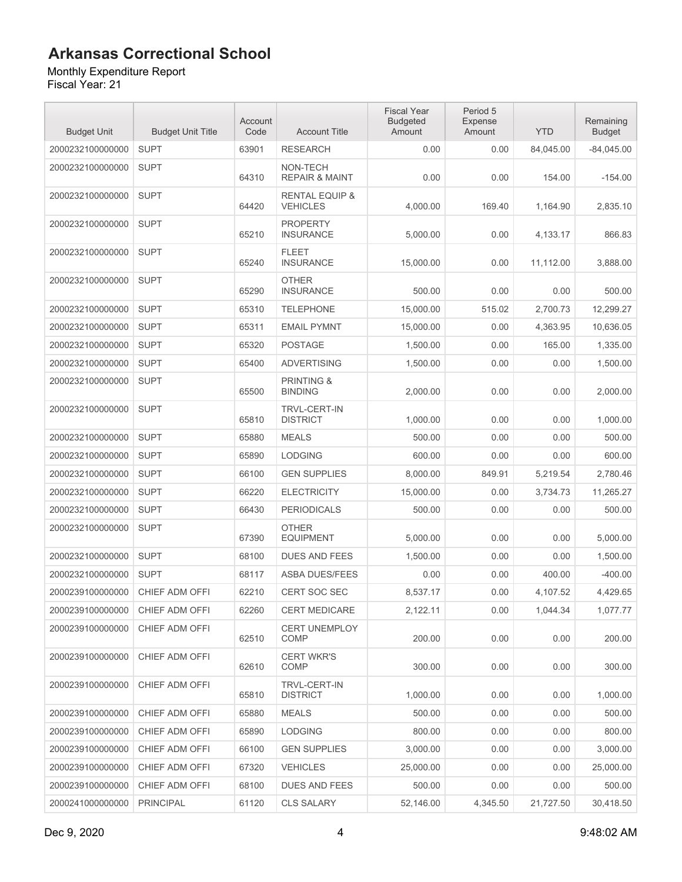Monthly Expenditure Report Fiscal Year: 21

| <b>Budget Unit</b> | <b>Budget Unit Title</b> | Account<br>Code | <b>Account Title</b>                         | <b>Fiscal Year</b><br><b>Budgeted</b><br>Amount | Period 5<br>Expense<br>Amount | <b>YTD</b> | Remaining<br><b>Budget</b> |
|--------------------|--------------------------|-----------------|----------------------------------------------|-------------------------------------------------|-------------------------------|------------|----------------------------|
| 2000232100000000   | <b>SUPT</b>              | 63901           | <b>RESEARCH</b>                              | 0.00                                            | 0.00                          | 84,045.00  | $-84,045.00$               |
| 2000232100000000   | <b>SUPT</b>              | 64310           | NON-TECH<br><b>REPAIR &amp; MAINT</b>        | 0.00                                            | 0.00                          | 154.00     | $-154.00$                  |
| 2000232100000000   | <b>SUPT</b>              | 64420           | <b>RENTAL EQUIP &amp;</b><br><b>VEHICLES</b> | 4,000.00                                        | 169.40                        | 1,164.90   | 2,835.10                   |
| 2000232100000000   | <b>SUPT</b>              | 65210           | <b>PROPERTY</b><br><b>INSURANCE</b>          | 5,000.00                                        | 0.00                          | 4,133.17   | 866.83                     |
| 2000232100000000   | <b>SUPT</b>              | 65240           | <b>FLEET</b><br><b>INSURANCE</b>             | 15,000.00                                       | 0.00                          | 11,112.00  | 3,888.00                   |
| 2000232100000000   | <b>SUPT</b>              | 65290           | <b>OTHER</b><br><b>INSURANCE</b>             | 500.00                                          | 0.00                          | 0.00       | 500.00                     |
| 2000232100000000   | <b>SUPT</b>              | 65310           | <b>TELEPHONE</b>                             | 15,000.00                                       | 515.02                        | 2,700.73   | 12,299.27                  |
| 2000232100000000   | <b>SUPT</b>              | 65311           | <b>EMAIL PYMNT</b>                           | 15,000.00                                       | 0.00                          | 4,363.95   | 10,636.05                  |
| 2000232100000000   | <b>SUPT</b>              | 65320           | <b>POSTAGE</b>                               | 1,500.00                                        | 0.00                          | 165.00     | 1,335.00                   |
| 2000232100000000   | <b>SUPT</b>              | 65400           | <b>ADVERTISING</b>                           | 1,500.00                                        | 0.00                          | 0.00       | 1,500.00                   |
| 2000232100000000   | <b>SUPT</b>              | 65500           | <b>PRINTING &amp;</b><br><b>BINDING</b>      | 2,000.00                                        | 0.00                          | 0.00       | 2,000.00                   |
| 2000232100000000   | <b>SUPT</b>              | 65810           | <b>TRVL-CERT-IN</b><br><b>DISTRICT</b>       | 1,000.00                                        | 0.00                          | 0.00       | 1,000.00                   |
| 2000232100000000   | <b>SUPT</b>              | 65880           | <b>MEALS</b>                                 | 500.00                                          | 0.00                          | 0.00       | 500.00                     |
| 2000232100000000   | <b>SUPT</b>              | 65890           | <b>LODGING</b>                               | 600.00                                          | 0.00                          | 0.00       | 600.00                     |
| 2000232100000000   | <b>SUPT</b>              | 66100           | <b>GEN SUPPLIES</b>                          | 8,000.00                                        | 849.91                        | 5,219.54   | 2,780.46                   |
| 2000232100000000   | <b>SUPT</b>              | 66220           | <b>ELECTRICITY</b>                           | 15,000.00                                       | 0.00                          | 3,734.73   | 11,265.27                  |
| 2000232100000000   | <b>SUPT</b>              | 66430           | <b>PERIODICALS</b>                           | 500.00                                          | 0.00                          | 0.00       | 500.00                     |
| 2000232100000000   | <b>SUPT</b>              | 67390           | <b>OTHER</b><br><b>EQUIPMENT</b>             | 5.000.00                                        | 0.00                          | 0.00       | 5,000.00                   |
| 2000232100000000   | <b>SUPT</b>              | 68100           | <b>DUES AND FEES</b>                         | 1,500.00                                        | 0.00                          | 0.00       | 1,500.00                   |
| 2000232100000000   | <b>SUPT</b>              | 68117           | <b>ASBA DUES/FEES</b>                        | 0.00                                            | 0.00                          | 400.00     | $-400.00$                  |
| 2000239100000000   | CHIEF ADM OFFI           | 62210           | <b>CERT SOC SEC</b>                          | 8,537.17                                        | 0.00                          | 4,107.52   | 4,429.65                   |
| 2000239100000000   | CHIEF ADM OFFI           | 62260           | <b>CERT MEDICARE</b>                         | 2,122.11                                        | 0.00                          | 1,044.34   | 1,077.77                   |
| 2000239100000000   | CHIEF ADM OFFI           | 62510           | <b>CERT UNEMPLOY</b><br><b>COMP</b>          | 200.00                                          | 0.00                          | 0.00       | 200.00                     |
| 2000239100000000   | CHIEF ADM OFFI           | 62610           | <b>CERT WKR'S</b><br>COMP                    | 300.00                                          | 0.00                          | 0.00       | 300.00                     |
| 2000239100000000   | CHIEF ADM OFFI           | 65810           | <b>TRVL-CERT-IN</b><br><b>DISTRICT</b>       | 1,000.00                                        | 0.00                          | 0.00       | 1,000.00                   |
| 2000239100000000   | CHIEF ADM OFFI           | 65880           | <b>MEALS</b>                                 | 500.00                                          | 0.00                          | 0.00       | 500.00                     |
| 2000239100000000   | CHIEF ADM OFFI           | 65890           | <b>LODGING</b>                               | 800.00                                          | 0.00                          | 0.00       | 800.00                     |
| 2000239100000000   | CHIEF ADM OFFI           | 66100           | <b>GEN SUPPLIES</b>                          | 3,000.00                                        | 0.00                          | 0.00       | 3,000.00                   |
| 2000239100000000   | CHIEF ADM OFFI           | 67320           | <b>VEHICLES</b>                              | 25,000.00                                       | 0.00                          | 0.00       | 25,000.00                  |
| 2000239100000000   | CHIEF ADM OFFI           | 68100           | <b>DUES AND FEES</b>                         | 500.00                                          | 0.00                          | 0.00       | 500.00                     |
| 2000241000000000   | <b>PRINCIPAL</b>         | 61120           | <b>CLS SALARY</b>                            | 52,146.00                                       | 4,345.50                      | 21,727.50  | 30,418.50                  |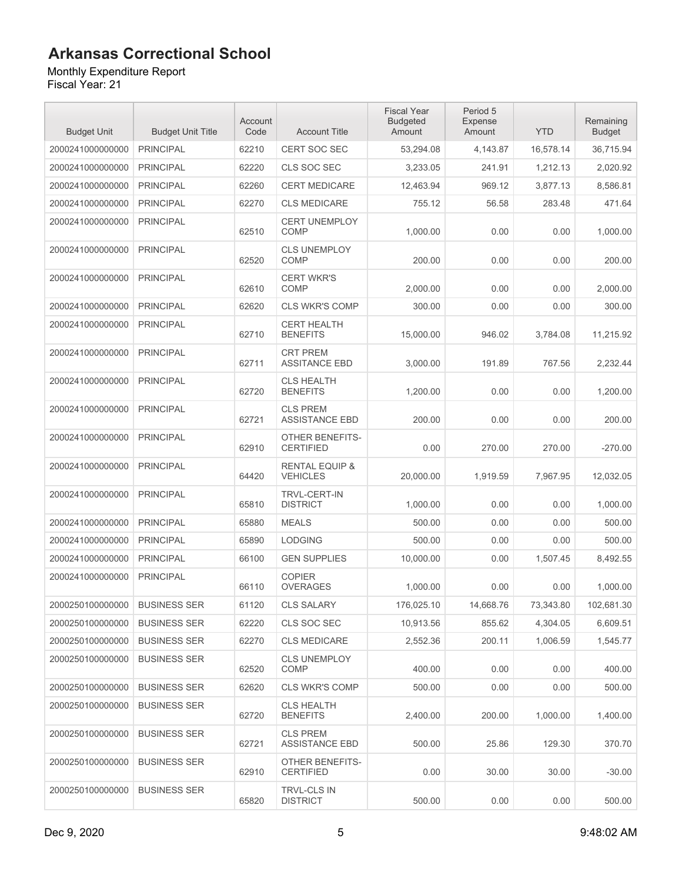#### Monthly Expenditure Report

| <b>Budget Unit</b> | <b>Budget Unit Title</b> | Account<br>Code | <b>Account Title</b>                         | <b>Fiscal Year</b><br><b>Budgeted</b><br>Amount | Period 5<br><b>Expense</b><br>Amount | <b>YTD</b> | Remaining<br><b>Budget</b> |
|--------------------|--------------------------|-----------------|----------------------------------------------|-------------------------------------------------|--------------------------------------|------------|----------------------------|
| 2000241000000000   | <b>PRINCIPAL</b>         | 62210           | <b>CERT SOC SEC</b>                          | 53,294.08                                       | 4,143.87                             | 16,578.14  | 36,715.94                  |
| 2000241000000000   | <b>PRINCIPAL</b>         | 62220           | CLS SOC SEC                                  | 3,233.05                                        | 241.91                               | 1,212.13   | 2,020.92                   |
| 2000241000000000   | <b>PRINCIPAL</b>         | 62260           | <b>CERT MEDICARE</b>                         | 12,463.94                                       | 969.12                               | 3,877.13   | 8,586.81                   |
| 2000241000000000   | <b>PRINCIPAL</b>         | 62270           | <b>CLS MEDICARE</b>                          | 755.12                                          | 56.58                                | 283.48     | 471.64                     |
| 2000241000000000   | <b>PRINCIPAL</b>         | 62510           | <b>CERT UNEMPLOY</b><br><b>COMP</b>          | 1,000.00                                        | 0.00                                 | 0.00       | 1,000.00                   |
| 2000241000000000   | <b>PRINCIPAL</b>         | 62520           | <b>CLS UNEMPLOY</b><br><b>COMP</b>           | 200.00                                          | 0.00                                 | 0.00       | 200.00                     |
| 2000241000000000   | <b>PRINCIPAL</b>         | 62610           | <b>CERT WKR'S</b><br><b>COMP</b>             | 2,000.00                                        | 0.00                                 | 0.00       | 2,000.00                   |
| 2000241000000000   | <b>PRINCIPAL</b>         | 62620           | <b>CLS WKR'S COMP</b>                        | 300.00                                          | 0.00                                 | 0.00       | 300.00                     |
| 2000241000000000   | <b>PRINCIPAL</b>         | 62710           | <b>CERT HEALTH</b><br><b>BENEFITS</b>        | 15,000.00                                       | 946.02                               | 3,784.08   | 11,215.92                  |
| 2000241000000000   | <b>PRINCIPAL</b>         | 62711           | <b>CRT PREM</b><br><b>ASSITANCE EBD</b>      | 3,000.00                                        | 191.89                               | 767.56     | 2,232.44                   |
| 2000241000000000   | <b>PRINCIPAL</b>         | 62720           | <b>CLS HEALTH</b><br><b>BENEFITS</b>         | 1,200.00                                        | 0.00                                 | 0.00       | 1,200.00                   |
| 2000241000000000   | <b>PRINCIPAL</b>         | 62721           | <b>CLS PREM</b><br><b>ASSISTANCE EBD</b>     | 200.00                                          | 0.00                                 | 0.00       | 200.00                     |
| 2000241000000000   | <b>PRINCIPAL</b>         | 62910           | <b>OTHER BENEFITS-</b><br><b>CERTIFIED</b>   | 0.00                                            | 270.00                               | 270.00     | $-270.00$                  |
| 2000241000000000   | <b>PRINCIPAL</b>         | 64420           | <b>RENTAL EQUIP &amp;</b><br><b>VEHICLES</b> | 20,000.00                                       | 1,919.59                             | 7,967.95   | 12,032.05                  |
| 2000241000000000   | <b>PRINCIPAL</b>         | 65810           | <b>TRVL-CERT-IN</b><br><b>DISTRICT</b>       | 1,000.00                                        | 0.00                                 | 0.00       | 1,000.00                   |
| 2000241000000000   | <b>PRINCIPAL</b>         | 65880           | <b>MEALS</b>                                 | 500.00                                          | 0.00                                 | 0.00       | 500.00                     |
| 2000241000000000   | <b>PRINCIPAL</b>         | 65890           | <b>LODGING</b>                               | 500.00                                          | 0.00                                 | 0.00       | 500.00                     |
| 2000241000000000   | <b>PRINCIPAL</b>         | 66100           | <b>GEN SUPPLIES</b>                          | 10,000.00                                       | 0.00                                 | 1,507.45   | 8,492.55                   |
| 2000241000000000   | <b>PRINCIPAL</b>         | 66110           | <b>COPIER</b><br><b>OVERAGES</b>             | 1,000.00                                        | 0.00                                 | 0.00       | 1,000.00                   |
| 2000250100000000   | <b>BUSINESS SER</b>      | 61120           | <b>CLS SALARY</b>                            | 176,025.10                                      | 14,668.76                            | 73,343.80  | 102,681.30                 |
| 2000250100000000   | <b>BUSINESS SER</b>      | 62220           | CLS SOC SEC                                  | 10,913.56                                       | 855.62                               | 4,304.05   | 6,609.51                   |
| 2000250100000000   | <b>BUSINESS SER</b>      | 62270           | <b>CLS MEDICARE</b>                          | 2,552.36                                        | 200.11                               | 1,006.59   | 1,545.77                   |
| 2000250100000000   | <b>BUSINESS SER</b>      | 62520           | <b>CLS UNEMPLOY</b><br><b>COMP</b>           | 400.00                                          | 0.00                                 | 0.00       | 400.00                     |
| 2000250100000000   | <b>BUSINESS SER</b>      | 62620           | <b>CLS WKR'S COMP</b>                        | 500.00                                          | 0.00                                 | 0.00       | 500.00                     |
| 2000250100000000   | <b>BUSINESS SER</b>      | 62720           | <b>CLS HEALTH</b><br><b>BENEFITS</b>         | 2,400.00                                        | 200.00                               | 1.000.00   | 1,400.00                   |
| 2000250100000000   | <b>BUSINESS SER</b>      | 62721           | <b>CLS PREM</b><br><b>ASSISTANCE EBD</b>     | 500.00                                          | 25.86                                | 129.30     | 370.70                     |
| 2000250100000000   | <b>BUSINESS SER</b>      | 62910           | OTHER BENEFITS-<br><b>CERTIFIED</b>          | 0.00                                            | 30.00                                | 30.00      | $-30.00$                   |
| 2000250100000000   | <b>BUSINESS SER</b>      | 65820           | <b>TRVL-CLS IN</b><br><b>DISTRICT</b>        | 500.00                                          | 0.00                                 | 0.00       | 500.00                     |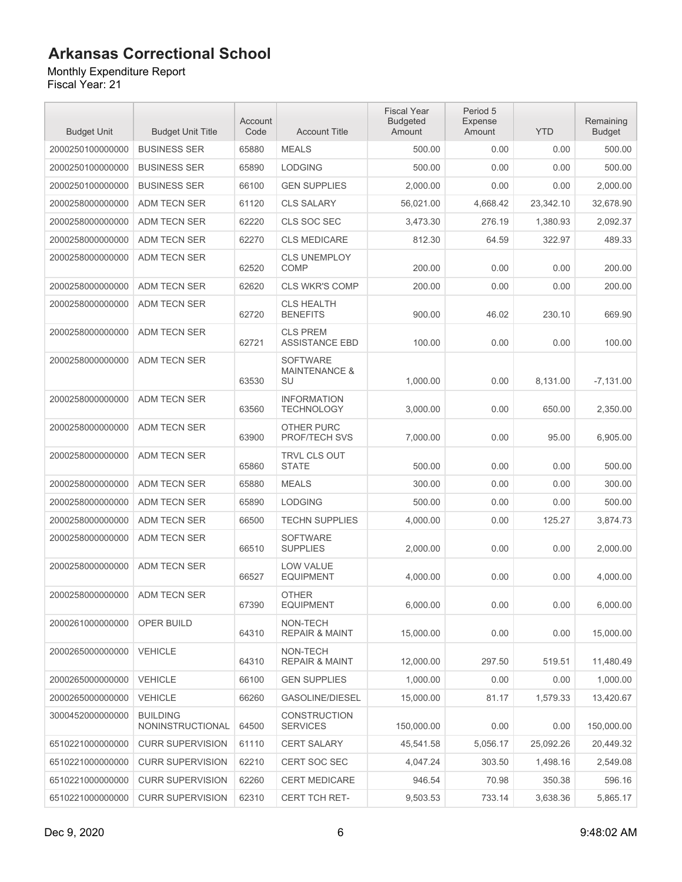#### Monthly Expenditure Report

| <b>Budget Unit</b> | <b>Budget Unit Title</b>            | Account<br>Code | <b>Account Title</b>                              | <b>Fiscal Year</b><br><b>Budgeted</b><br>Amount | Period 5<br>Expense<br>Amount | <b>YTD</b> | Remaining<br><b>Budget</b> |
|--------------------|-------------------------------------|-----------------|---------------------------------------------------|-------------------------------------------------|-------------------------------|------------|----------------------------|
| 2000250100000000   | <b>BUSINESS SER</b>                 | 65880           | <b>MEALS</b>                                      | 500.00                                          | 0.00                          | 0.00       | 500.00                     |
| 2000250100000000   | <b>BUSINESS SER</b>                 | 65890           | <b>LODGING</b>                                    | 500.00                                          | 0.00                          | 0.00       | 500.00                     |
| 2000250100000000   | <b>BUSINESS SER</b>                 | 66100           | <b>GEN SUPPLIES</b>                               | 2.000.00                                        | 0.00                          | 0.00       | 2,000.00                   |
| 2000258000000000   | ADM TECN SER                        | 61120           | <b>CLS SALARY</b>                                 | 56,021.00                                       | 4,668.42                      | 23,342.10  | 32,678.90                  |
| 2000258000000000   | <b>ADM TECN SER</b>                 | 62220           | CLS SOC SEC                                       | 3,473.30                                        | 276.19                        | 1,380.93   | 2,092.37                   |
| 2000258000000000   | ADM TECN SER                        | 62270           | <b>CLS MEDICARE</b>                               | 812.30                                          | 64.59                         | 322.97     | 489.33                     |
| 2000258000000000   | ADM TECN SER                        | 62520           | <b>CLS UNEMPLOY</b><br><b>COMP</b>                | 200.00                                          | 0.00                          | 0.00       | 200.00                     |
| 2000258000000000   | <b>ADM TECN SER</b>                 | 62620           | <b>CLS WKR'S COMP</b>                             | 200.00                                          | 0.00                          | 0.00       | 200.00                     |
| 2000258000000000   | ADM TECN SER                        | 62720           | <b>CLS HEALTH</b><br><b>BENEFITS</b>              | 900.00                                          | 46.02                         | 230.10     | 669.90                     |
| 2000258000000000   | <b>ADM TECN SER</b>                 | 62721           | <b>CLS PREM</b><br><b>ASSISTANCE EBD</b>          | 100.00                                          | 0.00                          | 0.00       | 100.00                     |
| 2000258000000000   | ADM TECN SER                        | 63530           | <b>SOFTWARE</b><br><b>MAINTENANCE &amp;</b><br>SU | 1,000.00                                        | 0.00                          | 8,131.00   | $-7,131.00$                |
| 2000258000000000   | <b>ADM TECN SER</b>                 | 63560           | <b>INFORMATION</b><br><b>TECHNOLOGY</b>           | 3,000.00                                        | 0.00                          | 650.00     | 2,350.00                   |
| 2000258000000000   | <b>ADM TECN SER</b>                 | 63900           | <b>OTHER PURC</b><br>PROF/TECH SVS                | 7,000.00                                        | 0.00                          | 95.00      | 6,905.00                   |
| 2000258000000000   | ADM TECN SER                        | 65860           | TRVL CLS OUT<br><b>STATE</b>                      | 500.00                                          | 0.00                          | 0.00       | 500.00                     |
| 2000258000000000   | ADM TECN SER                        | 65880           | <b>MEALS</b>                                      | 300.00                                          | 0.00                          | 0.00       | 300.00                     |
| 2000258000000000   | ADM TECN SER                        | 65890           | <b>LODGING</b>                                    | 500.00                                          | 0.00                          | 0.00       | 500.00                     |
| 2000258000000000   | ADM TECN SER                        | 66500           | <b>TECHN SUPPLIES</b>                             | 4,000.00                                        | 0.00                          | 125.27     | 3,874.73                   |
| 2000258000000000   | ADM TECN SER                        | 66510           | <b>SOFTWARE</b><br><b>SUPPLIES</b>                | 2,000.00                                        | 0.00                          | 0.00       | 2.000.00                   |
| 2000258000000000   | ADM TECN SER                        | 66527           | LOW VALUE<br><b>EQUIPMENT</b>                     | 4.000.00                                        | 0.00                          | 0.00       | 4.000.00                   |
| 2000258000000000   | ADM TECN SER                        | 67390           | <b>OTHER</b><br><b>EQUIPMENT</b>                  | 6,000.00                                        | 0.00                          | 0.00       | 6,000.00                   |
| 2000261000000000   | OPER BUILD                          | 64310           | NON-TECH<br><b>REPAIR &amp; MAINT</b>             | 15,000.00                                       | 0.00                          | 0.00       | 15,000.00                  |
| 2000265000000000   | <b>VEHICLE</b>                      | 64310           | NON-TECH<br><b>REPAIR &amp; MAINT</b>             | 12,000.00                                       | 297.50                        | 519.51     | 11,480.49                  |
| 2000265000000000   | <b>VEHICLE</b>                      | 66100           | <b>GEN SUPPLIES</b>                               | 1,000.00                                        | 0.00                          | 0.00       | 1,000.00                   |
| 2000265000000000   | <b>VEHICLE</b>                      | 66260           | GASOLINE/DIESEL                                   | 15,000.00                                       | 81.17                         | 1,579.33   | 13,420.67                  |
| 3000452000000000   | <b>BUILDING</b><br>NONINSTRUCTIONAL | 64500           | <b>CONSTRUCTION</b><br><b>SERVICES</b>            | 150,000.00                                      | 0.00                          | 0.00       | 150,000.00                 |
| 6510221000000000   | <b>CURR SUPERVISION</b>             | 61110           | <b>CERT SALARY</b>                                | 45,541.58                                       | 5,056.17                      | 25,092.26  | 20,449.32                  |
| 6510221000000000   | <b>CURR SUPERVISION</b>             | 62210           | CERT SOC SEC                                      | 4,047.24                                        | 303.50                        | 1,498.16   | 2,549.08                   |
| 6510221000000000   | <b>CURR SUPERVISION</b>             | 62260           | <b>CERT MEDICARE</b>                              | 946.54                                          | 70.98                         | 350.38     | 596.16                     |
| 6510221000000000   | <b>CURR SUPERVISION</b>             | 62310           | CERT TCH RET-                                     | 9,503.53                                        | 733.14                        | 3,638.36   | 5,865.17                   |